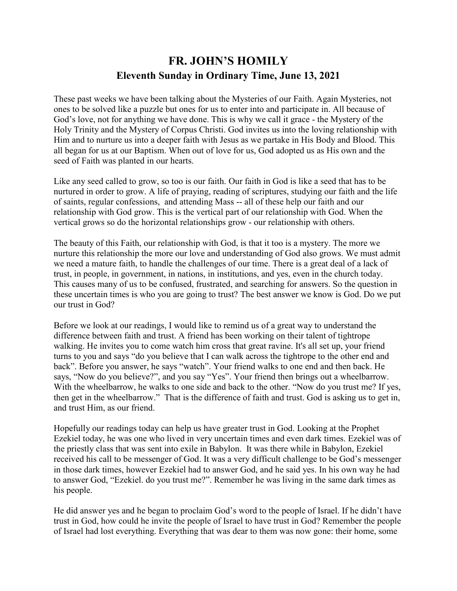## **FR. JOHN'S HOMILY Eleventh Sunday in Ordinary Time, June 13, 2021**

These past weeks we have been talking about the Mysteries of our Faith. Again Mysteries, not ones to be solved like a puzzle but ones for us to enter into and participate in. All because of God's love, not for anything we have done. This is why we call it grace - the Mystery of the Holy Trinity and the Mystery of Corpus Christi. God invites us into the loving relationship with Him and to nurture us into a deeper faith with Jesus as we partake in His Body and Blood. This all began for us at our Baptism. When out of love for us, God adopted us as His own and the seed of Faith was planted in our hearts.

Like any seed called to grow, so too is our faith. Our faith in God is like a seed that has to be nurtured in order to grow. A life of praying, reading of scriptures, studying our faith and the life of saints, regular confessions, and attending Mass -- all of these help our faith and our relationship with God grow. This is the vertical part of our relationship with God. When the vertical grows so do the horizontal relationships grow - our relationship with others.

The beauty of this Faith, our relationship with God, is that it too is a mystery. The more we nurture this relationship the more our love and understanding of God also grows. We must admit we need a mature faith, to handle the challenges of our time. There is a great deal of a lack of trust, in people, in government, in nations, in institutions, and yes, even in the church today. This causes many of us to be confused, frustrated, and searching for answers. So the question in these uncertain times is who you are going to trust? The best answer we know is God. Do we put our trust in God?

Before we look at our readings, I would like to remind us of a great way to understand the difference between faith and trust. A friend has been working on their talent of tightrope walking. He invites you to come watch him cross that great ravine. It's all set up, your friend turns to you and says "do you believe that I can walk across the tightrope to the other end and back". Before you answer, he says "watch". Your friend walks to one end and then back. He says, "Now do you believe?", and you say "Yes". Your friend then brings out a wheelbarrow. With the wheelbarrow, he walks to one side and back to the other. "Now do you trust me? If yes, then get in the wheelbarrow." That is the difference of faith and trust. God is asking us to get in, and trust Him, as our friend.

Hopefully our readings today can help us have greater trust in God. Looking at the Prophet Ezekiel today, he was one who lived in very uncertain times and even dark times. Ezekiel was of the priestly class that was sent into exile in Babylon. It was there while in Babylon, Ezekiel received his call to be messenger of God. It was a very difficult challenge to be God's messenger in those dark times, however Ezekiel had to answer God, and he said yes. In his own way he had to answer God, "Ezekiel. do you trust me?". Remember he was living in the same dark times as his people.

He did answer yes and he began to proclaim God's word to the people of Israel. If he didn't have trust in God, how could he invite the people of Israel to have trust in God? Remember the people of Israel had lost everything. Everything that was dear to them was now gone: their home, some